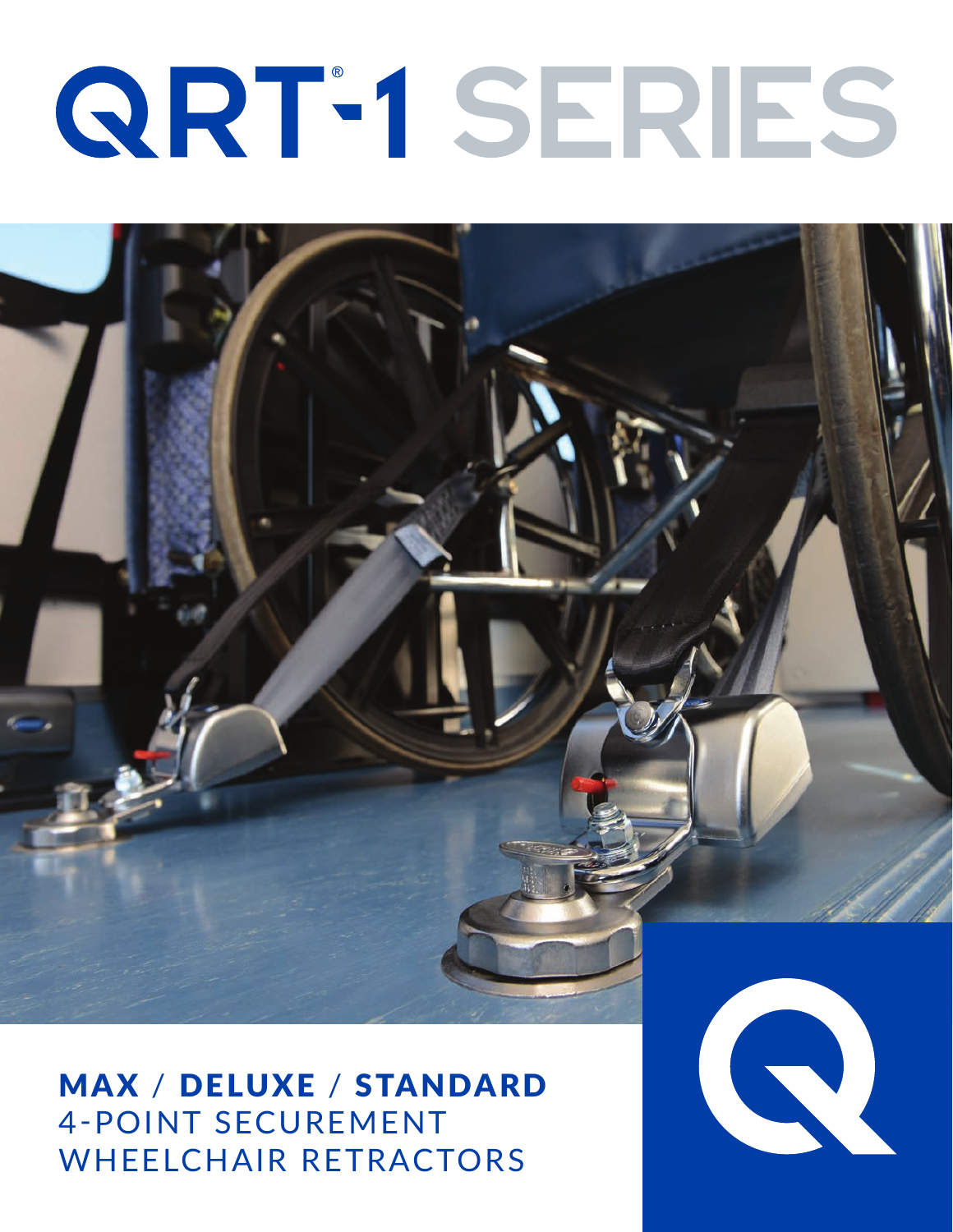# QRT-1 SERIES



MAX / DELUXE / STANDARD 4-POINT SECUREMENT WHEELCHAIR RETRACTORS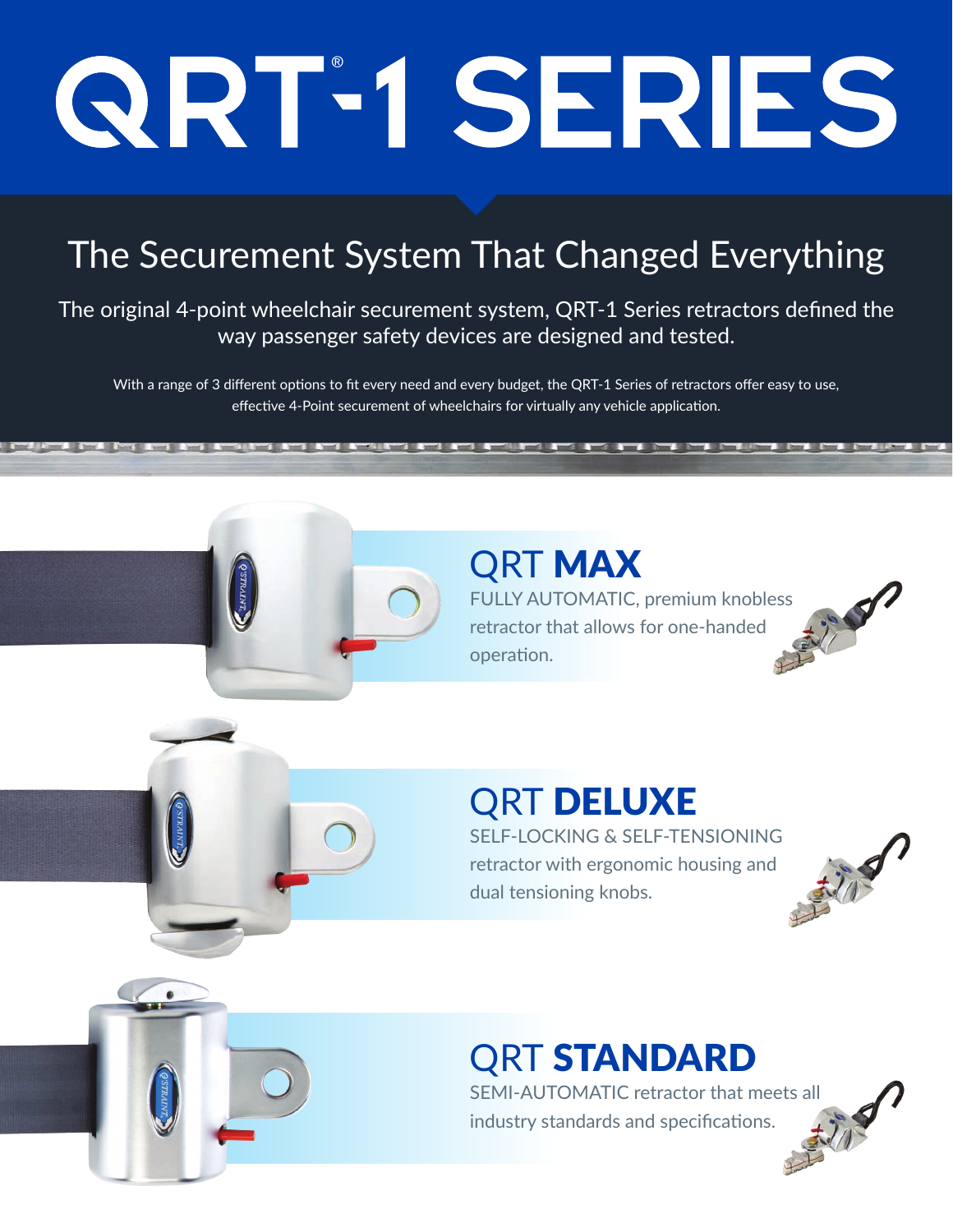# QRT-1 SERIES

# The Securement System That Changed Everything

The original 4-point wheelchair securement system, QRT-1 Series retractors defined the way passenger safety devices are designed and tested.

With a range of 3 different options to fit every need and every budget, the QRT-1 Series of retractors offer easy to use, effective 4-Point securement of wheelchairs for virtually any vehicle application.

## QRT MAX

FULLY AUTOMATIC, premium knobless retractor that allows for one-handed operation.

<u> Letter Letter De De</u>

## **QRT DELUXE**

SELF-LOCKING & SELF-TENSIONING<br>retractor with ergonomic housing and<br>dual tensioning knobs. retractor with ergonomic housing and dual tensioning knobs.



## QRT STANDARD

SEMI-AUTOMATIC retractor that meets all industry standards and specifications.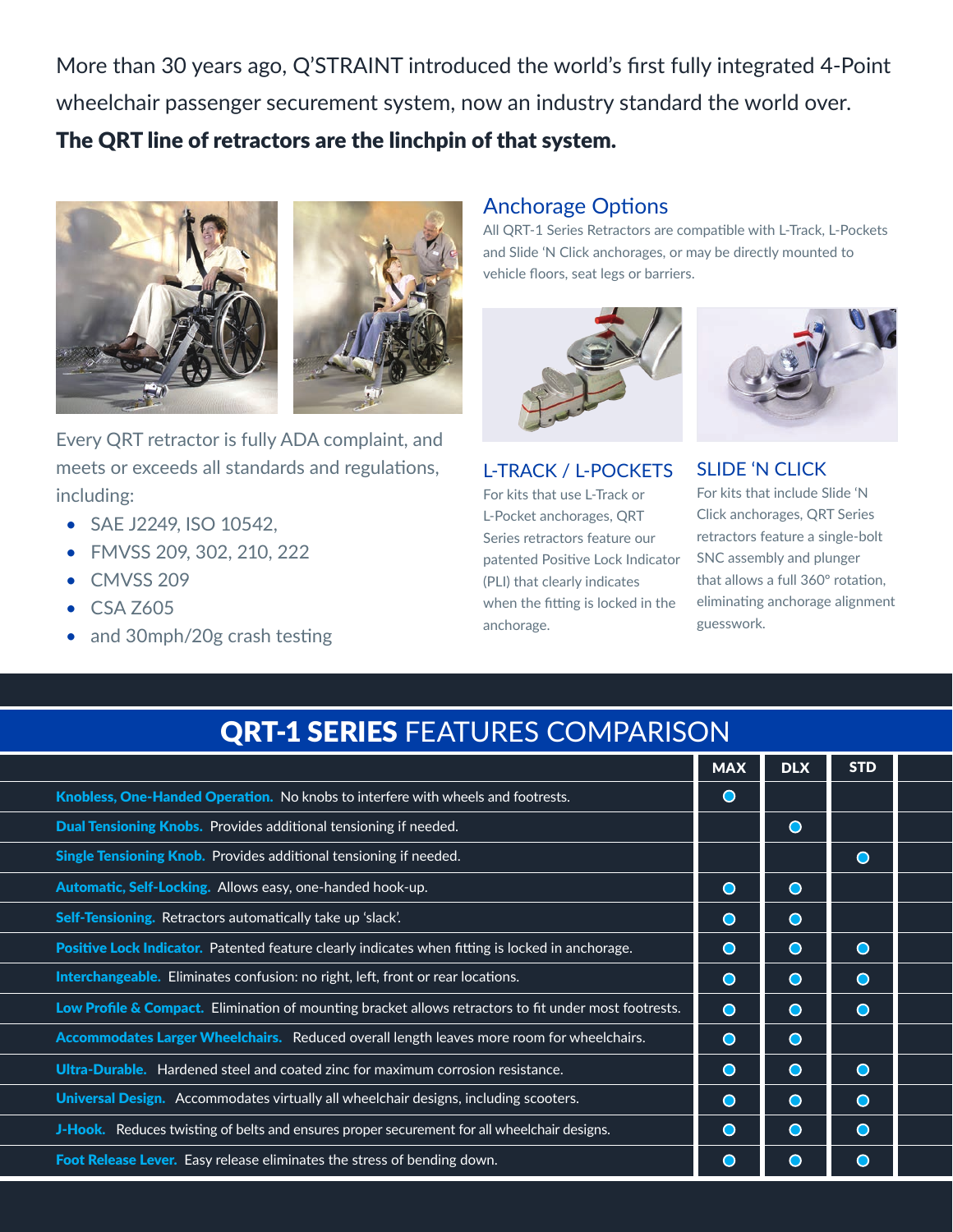More than 30 years ago, Q'STRAINT introduced the world's first fully integrated 4-Point wheelchair passenger securement system, now an industry standard the world over. The QRT line of retractors are the linchpin of that system.





Every QRT retractor is fully ADA complaint, and meets or exceeds all standards and regulations, including:

- SAE J2249, ISO 10542,
- FMVSS 209, 302, 210, 222
- CMVSS 209
- CSA Z605
- and 30mph/20g crash testing

### Anchorage Options

All QRT-1 Series Retractors are compatible with L-Track, L-Pockets and Slide 'N Click anchorages, or may be directly mounted to vehicle floors, seat legs or barriers.



(PLI) that clearly indicates when the fitting is locked in the

anchorage.





For kits that include Slide 'N Click anchorages, QRT Series retractors feature a single-bolt SNC assembly and plunger that allows a full 360º rotation, eliminating anchorage alignment guesswork.

## QRT-1 SERIES FEATURES COMPARISON

|                                                                                                       | <b>MAX</b> | <b>DLX</b> | <b>STD</b> |  |
|-------------------------------------------------------------------------------------------------------|------------|------------|------------|--|
| <b>Knobless, One-Handed Operation.</b> No knobs to interfere with wheels and footrests.               | $\bullet$  |            |            |  |
| Dual Tensioning Knobs. Provides additional tensioning if needed.                                      |            | $\bullet$  |            |  |
| Single Tensioning Knob. Provides additional tensioning if needed.                                     |            |            | $\bullet$  |  |
| Automatic, Self-Locking. Allows easy, one-handed hook-up.                                             | $\bullet$  | $\bullet$  |            |  |
| Self-Tensioning. Retractors automatically take up 'slack'.                                            | $\bullet$  | $\bullet$  |            |  |
| Positive Lock Indicator. Patented feature clearly indicates when fitting is locked in anchorage.      | $\bullet$  | $\bullet$  | $\bullet$  |  |
| <b>Interchangeable.</b> Eliminates confusion: no right, left, front or rear locations.                | $\bullet$  | $\bullet$  | $\bullet$  |  |
| Low Profile & Compact. Elimination of mounting bracket allows retractors to fit under most footrests. | $\bullet$  | $\bullet$  | $\bullet$  |  |
| <b>Accommodates Larger Wheelchairs.</b> Reduced overall length leaves more room for wheelchairs.      | $\bullet$  | $\bullet$  |            |  |
| <b>Ultra-Durable.</b> Hardened steel and coated zinc for maximum corrosion resistance.                | $\bullet$  | $\bullet$  | $\bullet$  |  |
| Universal Design. Accommodates virtually all wheelchair designs, including scooters.                  | $\bullet$  | $\bullet$  | $\bullet$  |  |
| J-Hook. Reduces twisting of belts and ensures proper securement for all wheelchair designs.           | $\bullet$  | $\bigcirc$ | $\bullet$  |  |
| Foot Release Lever. Easy release eliminates the stress of bending down.                               |            | $\epsilon$ | ( )        |  |